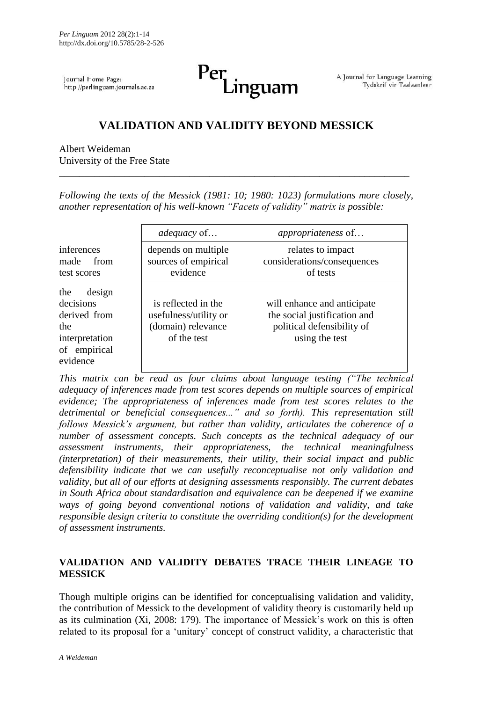Journal Home Page: http://perlinguam.journals.ac.za Per inguam

A Journal for Language Learning Tydskrif vir Taalaanleer

# **VALIDATION AND VALIDITY BEYOND MESSICK**

Albert Weideman University of the Free State

*Following the texts of the Messick (1981: 10; 1980: 1023) formulations more closely, another representation of his well-known "Facets of validity" matrix is possible:*

\_\_\_\_\_\_\_\_\_\_\_\_\_\_\_\_\_\_\_\_\_\_\_\_\_\_\_\_\_\_\_\_\_\_\_\_\_\_\_\_\_\_\_\_\_\_\_\_\_\_\_\_\_\_\_\_\_\_\_\_\_\_\_\_\_\_\_\_\_\_

|                                                                                                 | <i>adequacy</i> of                                                                | <i>appropriateness</i> of                                                                                   |
|-------------------------------------------------------------------------------------------------|-----------------------------------------------------------------------------------|-------------------------------------------------------------------------------------------------------------|
| inferences<br>made<br>from<br>test scores                                                       | depends on multiple<br>sources of empirical<br>evidence                           | relates to impact<br>considerations/consequences<br>of tests                                                |
| the<br>design<br>decisions<br>derived from<br>the<br>interpretation<br>of empirical<br>evidence | is reflected in the<br>usefulness/utility or<br>(domain) relevance<br>of the test | will enhance and anticipate<br>the social justification and<br>political defensibility of<br>using the test |

*This matrix can be read as four claims about language testing ("The technical adequacy of inferences made from test scores depends on multiple sources of empirical evidence; The appropriateness of inferences made from test scores relates to the detrimental or beneficial consequences..." and so forth). This representation still follows Messick's argument, but rather than validity, articulates the coherence of a number of assessment concepts. Such concepts as the technical adequacy of our assessment instruments, their appropriateness, the technical meaningfulness (interpretation) of their measurements, their utility, their social impact and public defensibility indicate that we can usefully reconceptualise not only validation and validity, but all of our efforts at designing assessments responsibly. The current debates in South Africa about standardisation and equivalence can be deepened if we examine ways of going beyond conventional notions of validation and validity, and take responsible design criteria to constitute the overriding condition(s) for the development of assessment instruments.*

# **VALIDATION AND VALIDITY DEBATES TRACE THEIR LINEAGE TO MESSICK**

Though multiple origins can be identified for conceptualising validation and validity, the contribution of Messick to the development of validity theory is customarily held up as its culmination (Xi, 2008: 179). The importance of Messick's work on this is often related to its proposal for a "unitary" concept of construct validity, a characteristic that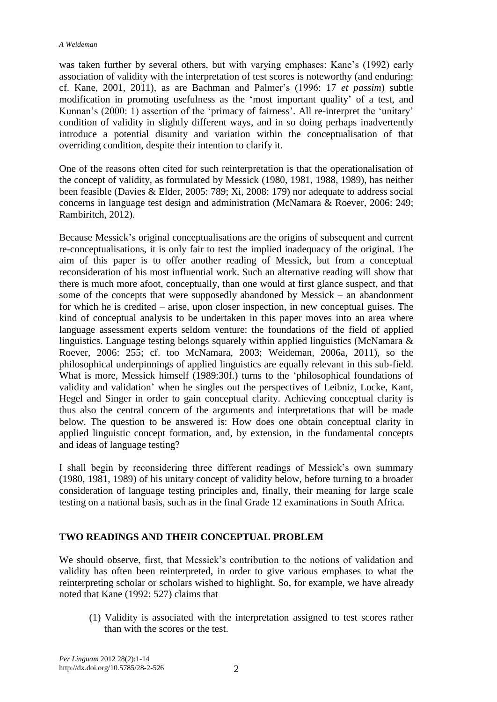was taken further by several others, but with varying emphases: Kane's (1992) early association of validity with the interpretation of test scores is noteworthy (and enduring: cf. Kane, 2001, 2011), as are Bachman and Palmer"s (1996: 17 *et passim*) subtle modification in promoting usefulness as the "most important quality" of a test, and Kunnan's (2000: 1) assertion of the 'primacy of fairness'. All re-interpret the 'unitary' condition of validity in slightly different ways, and in so doing perhaps inadvertently introduce a potential disunity and variation within the conceptualisation of that overriding condition, despite their intention to clarify it.

One of the reasons often cited for such reinterpretation is that the operationalisation of the concept of validity, as formulated by Messick (1980, 1981, 1988, 1989), has neither been feasible (Davies & Elder, 2005: 789; Xi, 2008: 179) nor adequate to address social concerns in language test design and administration (McNamara & Roever, 2006: 249; Rambiritch, 2012).

Because Messick"s original conceptualisations are the origins of subsequent and current re-conceptualisations, it is only fair to test the implied inadequacy of the original. The aim of this paper is to offer another reading of Messick, but from a conceptual reconsideration of his most influential work. Such an alternative reading will show that there is much more afoot, conceptually, than one would at first glance suspect, and that some of the concepts that were supposedly abandoned by Messick – an abandonment for which he is credited – arise, upon closer inspection, in new conceptual guises. The kind of conceptual analysis to be undertaken in this paper moves into an area where language assessment experts seldom venture: the foundations of the field of applied linguistics. Language testing belongs squarely within applied linguistics (McNamara & Roever, 2006: 255; cf. too McNamara, 2003; Weideman, 2006a, 2011), so the philosophical underpinnings of applied linguistics are equally relevant in this sub-field. What is more, Messick himself (1989:30f.) turns to the "philosophical foundations of validity and validation" when he singles out the perspectives of Leibniz, Locke, Kant, Hegel and Singer in order to gain conceptual clarity. Achieving conceptual clarity is thus also the central concern of the arguments and interpretations that will be made below. The question to be answered is: How does one obtain conceptual clarity in applied linguistic concept formation, and, by extension, in the fundamental concepts and ideas of language testing?

I shall begin by reconsidering three different readings of Messick"s own summary (1980, 1981, 1989) of his unitary concept of validity below, before turning to a broader consideration of language testing principles and, finally, their meaning for large scale testing on a national basis, such as in the final Grade 12 examinations in South Africa.

# **TWO READINGS AND THEIR CONCEPTUAL PROBLEM**

We should observe, first, that Messick"s contribution to the notions of validation and validity has often been reinterpreted, in order to give various emphases to what the reinterpreting scholar or scholars wished to highlight. So, for example, we have already noted that Kane (1992: 527) claims that

(1) Validity is associated with the interpretation assigned to test scores rather than with the scores or the test.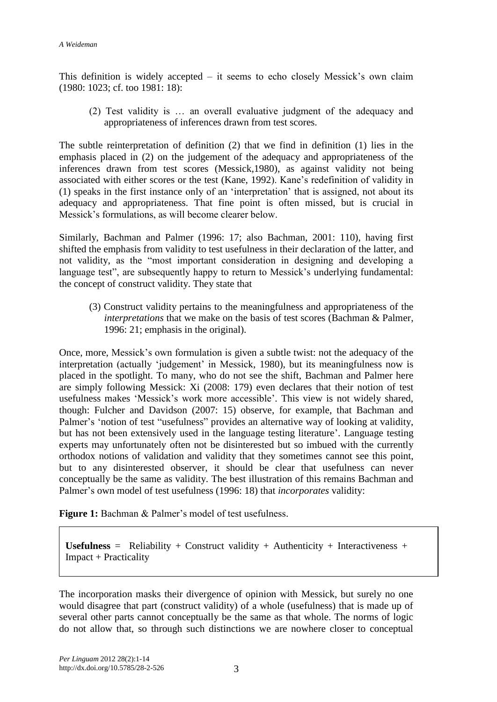This definition is widely accepted – it seems to echo closely Messick"s own claim (1980: 1023; cf. too 1981: 18):

(2) Test validity is … an overall evaluative judgment of the adequacy and appropriateness of inferences drawn from test scores.

The subtle reinterpretation of definition (2) that we find in definition (1) lies in the emphasis placed in (2) on the judgement of the adequacy and appropriateness of the inferences drawn from test scores (Messick,1980), as against validity not being associated with either scores or the test (Kane, 1992). Kane"s redefinition of validity in (1) speaks in the first instance only of an "interpretation" that is assigned, not about its adequacy and appropriateness. That fine point is often missed, but is crucial in Messick"s formulations, as will become clearer below.

Similarly, Bachman and Palmer (1996: 17; also Bachman, 2001: 110), having first shifted the emphasis from validity to test usefulness in their declaration of the latter, and not validity, as the "most important consideration in designing and developing a language test", are subsequently happy to return to Messick's underlying fundamental: the concept of construct validity. They state that

(3) Construct validity pertains to the meaningfulness and appropriateness of the *interpretations* that we make on the basis of test scores (Bachman & Palmer, 1996: 21; emphasis in the original).

Once, more, Messick"s own formulation is given a subtle twist: not the adequacy of the interpretation (actually 'judgement' in Messick, 1980), but its meaningfulness now is placed in the spotlight. To many, who do not see the shift, Bachman and Palmer here are simply following Messick: Xi (2008: 179) even declares that their notion of test usefulness makes "Messick"s work more accessible". This view is not widely shared, though: Fulcher and Davidson (2007: 15) observe, for example, that Bachman and Palmer's 'notion of test "usefulness" provides an alternative way of looking at validity, but has not been extensively used in the language testing literature". Language testing experts may unfortunately often not be disinterested but so imbued with the currently orthodox notions of validation and validity that they sometimes cannot see this point, but to any disinterested observer, it should be clear that usefulness can never conceptually be the same as validity. The best illustration of this remains Bachman and Palmer"s own model of test usefulness (1996: 18) that *incorporates* validity:

**Figure 1:** Bachman & Palmer's model of test usefulness.

Usefulness = Reliability + Construct validity + Authenticity + Interactiveness + Impact + Practicality

The incorporation masks their divergence of opinion with Messick, but surely no one would disagree that part (construct validity) of a whole (usefulness) that is made up of several other parts cannot conceptually be the same as that whole. The norms of logic do not allow that, so through such distinctions we are nowhere closer to conceptual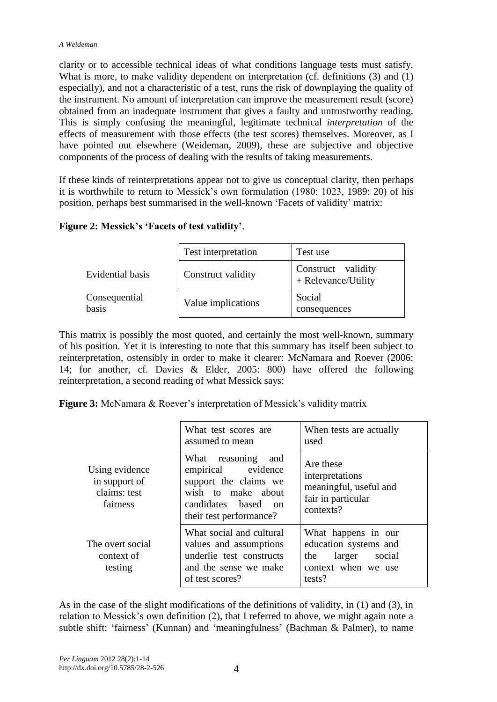clarity or to accessible technical ideas of what conditions language tests must satisfy. What is more, to make validity dependent on interpretation (cf. definitions (3) and (1) especially), and not a characteristic of a test, runs the risk of downplaying the quality of the instrument. No amount of interpretation can improve the measurement result (score) obtained from an inadequate instrument that gives a faulty and untrustworthy reading. This is simply confusing the meaningful, legitimate technical *interpretation* of the effects of measurement with those effects (the test scores) themselves. Moreover, as I have pointed out elsewhere (Weideman, 2009), these are subjective and objective components of the process of dealing with the results of taking measurements.

If these kinds of reinterpretations appear not to give us conceptual clarity, then perhaps it is worthwhile to return to Messick"s own formulation (1980: 1023, 1989: 20) of his position, perhaps best summarised in the well-known "Facets of validity" matrix:

# **Figure 2: Messick's 'Facets of test validity'**.

|                        | Test interpretation | Test use                                  |
|------------------------|---------------------|-------------------------------------------|
| Evidential basis       | Construct validity  | Construct validity<br>+ Relevance/Utility |
| Consequential<br>basis | Value implications  | Social<br>consequences                    |

This matrix is possibly the most quoted, and certainly the most well-known, summary of his position. Yet it is interesting to note that this summary has itself been subject to reinterpretation, ostensibly in order to make it clearer: McNamara and Roever (2006: 14; for another, cf. Davies & Elder, 2005: 800) have offered the following reinterpretation, a second reading of what Messick says:

**Figure 3:** McNamara & Roever's interpretation of Messick's validity matrix

|                                                             | What test scores are<br>assumed to mean                                                                                                   | When tests are actually<br>used                                                                          |
|-------------------------------------------------------------|-------------------------------------------------------------------------------------------------------------------------------------------|----------------------------------------------------------------------------------------------------------|
| Using evidence<br>in support of<br>claims: test<br>fairness | What reasoning and<br>empirical evidence<br>support the claims we<br>wish to make about<br>candidates based on<br>their test performance? | Are these<br>interpretations<br>meaningful, useful and<br>fair in particular<br>contexts?                |
| The overt social<br>context of<br>testing                   | What social and cultural<br>values and assumptions<br>underlie test constructs<br>and the sense we make<br>of test scores?                | What happens in our<br>education systems and<br>larger<br>social<br>the<br>context when we use<br>tests? |

As in the case of the slight modifications of the definitions of validity, in (1) and (3), in relation to Messick"s own definition (2), that I referred to above, we might again note a subtle shift: 'fairness' (Kunnan) and 'meaningfulness' (Bachman & Palmer), to name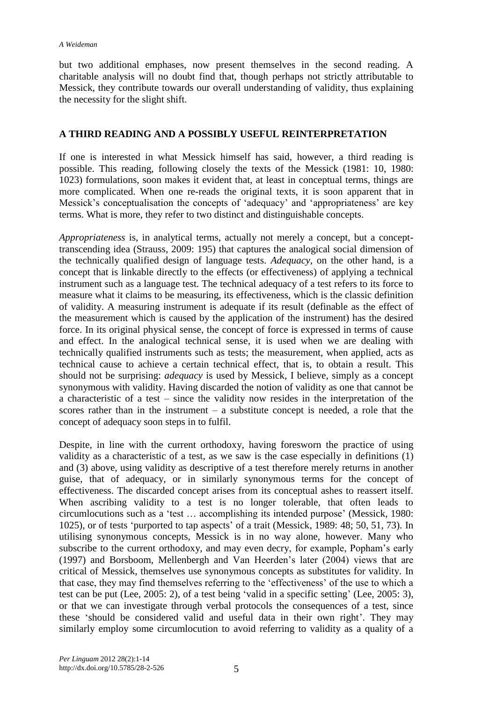but two additional emphases, now present themselves in the second reading. A charitable analysis will no doubt find that, though perhaps not strictly attributable to Messick, they contribute towards our overall understanding of validity, thus explaining the necessity for the slight shift.

# **A THIRD READING AND A POSSIBLY USEFUL REINTERPRETATION**

If one is interested in what Messick himself has said, however, a third reading is possible. This reading, following closely the texts of the Messick (1981: 10, 1980: 1023) formulations, soon makes it evident that, at least in conceptual terms, things are more complicated. When one re-reads the original texts, it is soon apparent that in Messick's conceptualisation the concepts of 'adequacy' and 'appropriateness' are key terms. What is more, they refer to two distinct and distinguishable concepts.

*Appropriateness* is, in analytical terms, actually not merely a concept, but a concepttranscending idea (Strauss, 2009: 195) that captures the analogical social dimension of the technically qualified design of language tests. *Adequacy*, on the other hand, is a concept that is linkable directly to the effects (or effectiveness) of applying a technical instrument such as a language test. The technical adequacy of a test refers to its force to measure what it claims to be measuring, its effectiveness, which is the classic definition of validity. A measuring instrument is adequate if its result (definable as the effect of the measurement which is caused by the application of the instrument) has the desired force. In its original physical sense, the concept of force is expressed in terms of cause and effect. In the analogical technical sense, it is used when we are dealing with technically qualified instruments such as tests; the measurement, when applied, acts as technical cause to achieve a certain technical effect, that is, to obtain a result. This should not be surprising: *adequacy* is used by Messick, I believe, simply as a concept synonymous with validity. Having discarded the notion of validity as one that cannot be a characteristic of a test – since the validity now resides in the interpretation of the scores rather than in the instrument  $-$  a substitute concept is needed, a role that the concept of adequacy soon steps in to fulfil.

Despite, in line with the current orthodoxy, having foresworn the practice of using validity as a characteristic of a test, as we saw is the case especially in definitions (1) and (3) above, using validity as descriptive of a test therefore merely returns in another guise, that of adequacy, or in similarly synonymous terms for the concept of effectiveness. The discarded concept arises from its conceptual ashes to reassert itself. When ascribing validity to a test is no longer tolerable, that often leads to circumlocutions such as a "test … accomplishing its intended purpose" (Messick, 1980: 1025), or of tests "purported to tap aspects" of a trait (Messick, 1989: 48; 50, 51, 73). In utilising synonymous concepts, Messick is in no way alone, however. Many who subscribe to the current orthodoxy, and may even decry, for example, Popham's early (1997) and Borsboom, Mellenbergh and Van Heerden"s later (2004) views that are critical of Messick, themselves use synonymous concepts as substitutes for validity. In that case, they may find themselves referring to the "effectiveness" of the use to which a test can be put (Lee, 2005: 2), of a test being 'valid in a specific setting' (Lee, 2005: 3), or that we can investigate through verbal protocols the consequences of a test, since these 'should be considered valid and useful data in their own right'. They may similarly employ some circumlocution to avoid referring to validity as a quality of a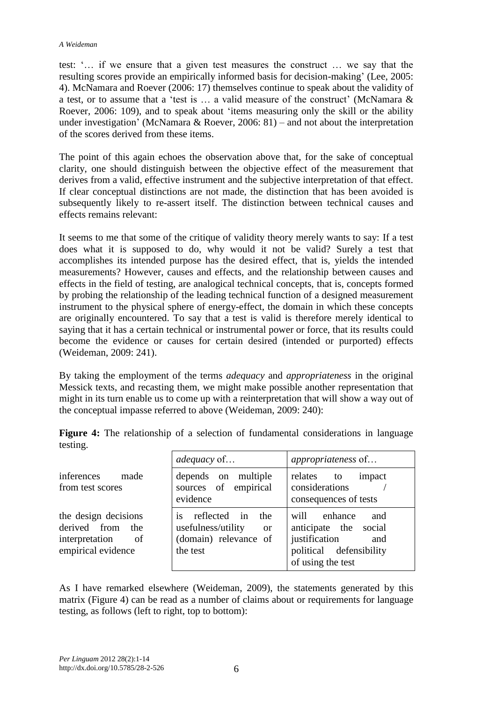#### *A Weideman*

test: "… if we ensure that a given test measures the construct … we say that the resulting scores provide an empirically informed basis for decision-making' (Lee, 2005: 4). McNamara and Roever (2006: 17) themselves continue to speak about the validity of a test, or to assume that a "test is … a valid measure of the construct" (McNamara & Roever, 2006: 109), and to speak about "items measuring only the skill or the ability under investigation' (McNamara & Roever, 2006: 81) – and not about the interpretation of the scores derived from these items.

The point of this again echoes the observation above that, for the sake of conceptual clarity, one should distinguish between the objective effect of the measurement that derives from a valid, effective instrument and the subjective interpretation of that effect. If clear conceptual distinctions are not made, the distinction that has been avoided is subsequently likely to re-assert itself. The distinction between technical causes and effects remains relevant:

It seems to me that some of the critique of validity theory merely wants to say: If a test does what it is supposed to do, why would it not be valid? Surely a test that accomplishes its intended purpose has the desired effect, that is, yields the intended measurements? However, causes and effects, and the relationship between causes and effects in the field of testing, are analogical technical concepts, that is, concepts formed by probing the relationship of the leading technical function of a designed measurement instrument to the physical sphere of energy-effect, the domain in which these concepts are originally encountered. To say that a test is valid is therefore merely identical to saying that it has a certain technical or instrumental power or force, that its results could become the evidence or causes for certain desired (intended or purported) effects (Weideman, 2009: 241).

By taking the employment of the terms *adequacy* and *appropriateness* in the original Messick texts, and recasting them, we might make possible another representation that might in its turn enable us to come up with a reinterpretation that will show a way out of the conceptual impasse referred to above (Weideman, 2009: 240):

|                                                                                           | <i>adequacy</i> of                                                                                    | <i>appropriateness</i> of                                                                                               |
|-------------------------------------------------------------------------------------------|-------------------------------------------------------------------------------------------------------|-------------------------------------------------------------------------------------------------------------------------|
| inferences<br>made<br>from test scores                                                    | depends on multiple<br>sources of empirical<br>evidence                                               | relates<br>to<br>impact<br>considerations<br>consequences of tests                                                      |
| the design decisions<br>derived from<br>the<br>interpretation<br>of<br>empirical evidence | reflected in<br>the<br>1S<br>usefulness/utility<br><sub>or</sub><br>(domain) relevance of<br>the test | will<br>enhance<br>and<br>anticipate the social<br>justification<br>and<br>political defensibility<br>of using the test |

**Figure 4:** The relationship of a selection of fundamental considerations in language testing.

As I have remarked elsewhere (Weideman, 2009), the statements generated by this matrix (Figure 4) can be read as a number of claims about or requirements for language testing, as follows (left to right, top to bottom):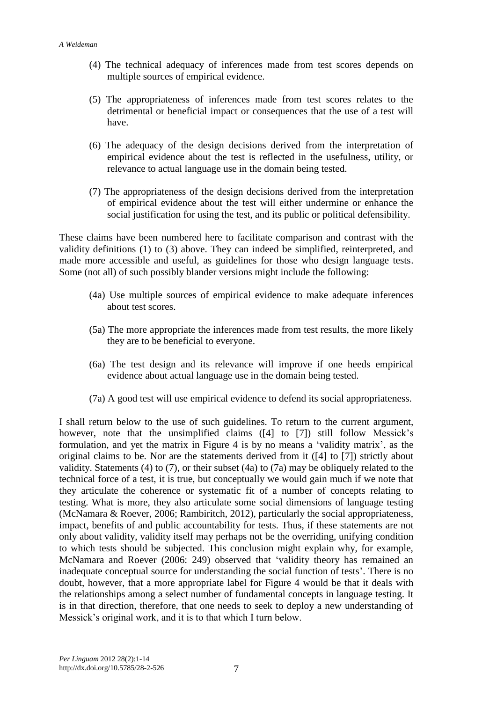- (4) The technical adequacy of inferences made from test scores depends on multiple sources of empirical evidence.
- (5) The appropriateness of inferences made from test scores relates to the detrimental or beneficial impact or consequences that the use of a test will have.
- (6) The adequacy of the design decisions derived from the interpretation of empirical evidence about the test is reflected in the usefulness, utility, or relevance to actual language use in the domain being tested.
- (7) The appropriateness of the design decisions derived from the interpretation of empirical evidence about the test will either undermine or enhance the social justification for using the test, and its public or political defensibility.

These claims have been numbered here to facilitate comparison and contrast with the validity definitions (1) to (3) above. They can indeed be simplified, reinterpreted, and made more accessible and useful, as guidelines for those who design language tests. Some (not all) of such possibly blander versions might include the following:

- (4a) Use multiple sources of empirical evidence to make adequate inferences about test scores.
- (5a) The more appropriate the inferences made from test results, the more likely they are to be beneficial to everyone.
- (6a) The test design and its relevance will improve if one heeds empirical evidence about actual language use in the domain being tested.
- (7a) A good test will use empirical evidence to defend its social appropriateness.

I shall return below to the use of such guidelines. To return to the current argument, however, note that the unsimplified claims ([4] to [7]) still follow Messick's formulation, and yet the matrix in Figure 4 is by no means a "validity matrix", as the original claims to be. Nor are the statements derived from it ([4] to [7]) strictly about validity. Statements (4) to (7), or their subset (4a) to (7a) may be obliquely related to the technical force of a test, it is true, but conceptually we would gain much if we note that they articulate the coherence or systematic fit of a number of concepts relating to testing. What is more, they also articulate some social dimensions of language testing (McNamara & Roever, 2006; Rambiritch, 2012), particularly the social appropriateness, impact, benefits of and public accountability for tests. Thus, if these statements are not only about validity, validity itself may perhaps not be the overriding, unifying condition to which tests should be subjected. This conclusion might explain why, for example, McNamara and Roever (2006: 249) observed that "validity theory has remained an inadequate conceptual source for understanding the social function of tests'. There is no doubt, however, that a more appropriate label for Figure 4 would be that it deals with the relationships among a select number of fundamental concepts in language testing. It is in that direction, therefore, that one needs to seek to deploy a new understanding of Messick's original work, and it is to that which I turn below.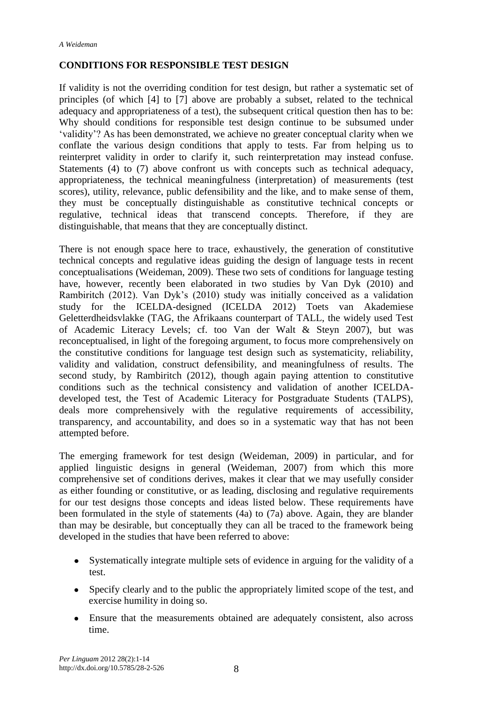### **CONDITIONS FOR RESPONSIBLE TEST DESIGN**

If validity is not the overriding condition for test design, but rather a systematic set of principles (of which [4] to [7] above are probably a subset, related to the technical adequacy and appropriateness of a test), the subsequent critical question then has to be: Why should conditions for responsible test design continue to be subsumed under "validity"? As has been demonstrated, we achieve no greater conceptual clarity when we conflate the various design conditions that apply to tests. Far from helping us to reinterpret validity in order to clarify it, such reinterpretation may instead confuse. Statements (4) to (7) above confront us with concepts such as technical adequacy, appropriateness, the technical meaningfulness (interpretation) of measurements (test scores), utility, relevance, public defensibility and the like, and to make sense of them, they must be conceptually distinguishable as constitutive technical concepts or regulative, technical ideas that transcend concepts. Therefore, if they are distinguishable, that means that they are conceptually distinct.

There is not enough space here to trace, exhaustively, the generation of constitutive technical concepts and regulative ideas guiding the design of language tests in recent conceptualisations (Weideman, 2009). These two sets of conditions for language testing have, however, recently been elaborated in two studies by Van Dyk (2010) and Rambiritch (2012). Van Dyk"s (2010) study was initially conceived as a validation study for the ICELDA-designed (ICELDA 2012) Toets van Akademiese Geletterdheidsvlakke (TAG, the Afrikaans counterpart of TALL, the widely used Test of Academic Literacy Levels; cf. too Van der Walt & Steyn 2007), but was reconceptualised, in light of the foregoing argument, to focus more comprehensively on the constitutive conditions for language test design such as systematicity, reliability, validity and validation, construct defensibility, and meaningfulness of results. The second study, by Rambiritch (2012), though again paying attention to constitutive conditions such as the technical consistency and validation of another ICELDAdeveloped test, the Test of Academic Literacy for Postgraduate Students (TALPS), deals more comprehensively with the regulative requirements of accessibility, transparency, and accountability, and does so in a systematic way that has not been attempted before.

The emerging framework for test design (Weideman, 2009) in particular, and for applied linguistic designs in general (Weideman, 2007) from which this more comprehensive set of conditions derives, makes it clear that we may usefully consider as either founding or constitutive, or as leading, disclosing and regulative requirements for our test designs those concepts and ideas listed below. These requirements have been formulated in the style of statements (4a) to (7a) above. Again, they are blander than may be desirable, but conceptually they can all be traced to the framework being developed in the studies that have been referred to above:

- Systematically integrate multiple sets of evidence in arguing for the validity of a test.
- Specify clearly and to the public the appropriately limited scope of the test, and exercise humility in doing so.
- Ensure that the measurements obtained are adequately consistent, also across time.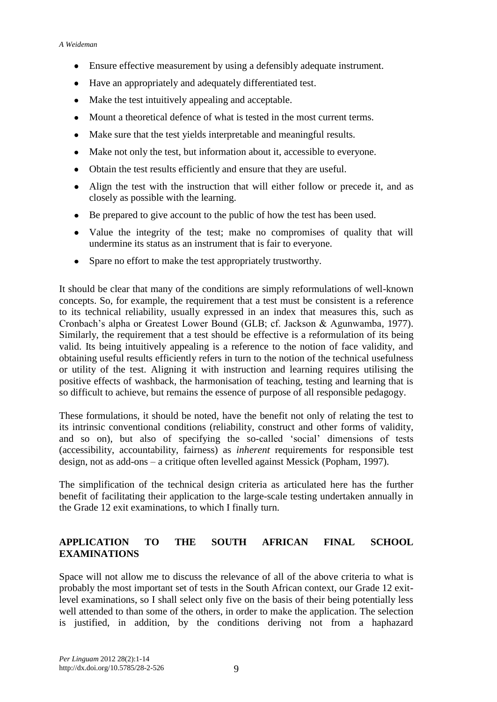- Ensure effective measurement by using a defensibly adequate instrument.  $\bullet$
- Have an appropriately and adequately differentiated test.
- Make the test intuitively appealing and acceptable.
- Mount a theoretical defence of what is tested in the most current terms.
- Make sure that the test yields interpretable and meaningful results.
- Make not only the test, but information about it, accessible to everyone.
- Obtain the test results efficiently and ensure that they are useful.
- Align the test with the instruction that will either follow or precede it, and as closely as possible with the learning.
- Be prepared to give account to the public of how the test has been used.
- Value the integrity of the test; make no compromises of quality that will undermine its status as an instrument that is fair to everyone.
- Spare no effort to make the test appropriately trustworthy.

It should be clear that many of the conditions are simply reformulations of well-known concepts. So, for example, the requirement that a test must be consistent is a reference to its technical reliability, usually expressed in an index that measures this, such as Cronbach"s alpha or Greatest Lower Bound (GLB; cf. Jackson & Agunwamba, 1977). Similarly, the requirement that a test should be effective is a reformulation of its being valid. Its being intuitively appealing is a reference to the notion of face validity, and obtaining useful results efficiently refers in turn to the notion of the technical usefulness or utility of the test. Aligning it with instruction and learning requires utilising the positive effects of washback, the harmonisation of teaching, testing and learning that is so difficult to achieve, but remains the essence of purpose of all responsible pedagogy.

These formulations, it should be noted, have the benefit not only of relating the test to its intrinsic conventional conditions (reliability, construct and other forms of validity, and so on), but also of specifying the so-called "social" dimensions of tests (accessibility, accountability, fairness) as *inherent* requirements for responsible test design, not as add-ons – a critique often levelled against Messick (Popham, 1997).

The simplification of the technical design criteria as articulated here has the further benefit of facilitating their application to the large-scale testing undertaken annually in the Grade 12 exit examinations, to which I finally turn.

# **APPLICATION TO THE SOUTH AFRICAN FINAL SCHOOL EXAMINATIONS**

Space will not allow me to discuss the relevance of all of the above criteria to what is probably the most important set of tests in the South African context, our Grade 12 exitlevel examinations, so I shall select only five on the basis of their being potentially less well attended to than some of the others, in order to make the application. The selection is justified, in addition, by the conditions deriving not from a haphazard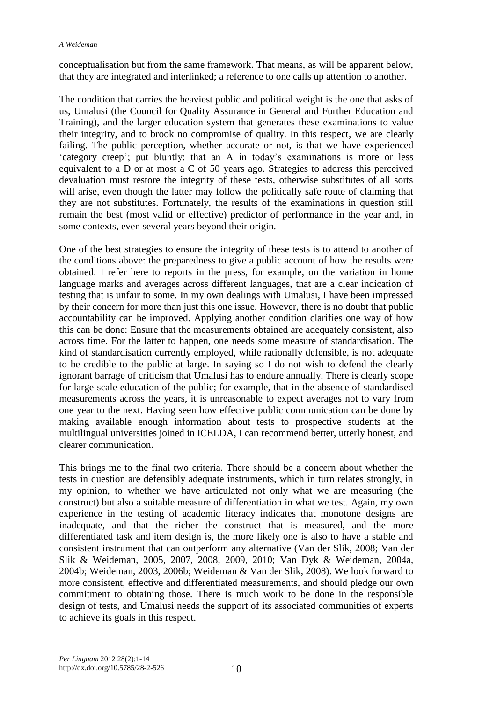conceptualisation but from the same framework. That means, as will be apparent below, that they are integrated and interlinked; a reference to one calls up attention to another.

The condition that carries the heaviest public and political weight is the one that asks of us, Umalusi (the Council for Quality Assurance in General and Further Education and Training), and the larger education system that generates these examinations to value their integrity, and to brook no compromise of quality. In this respect, we are clearly failing. The public perception, whether accurate or not, is that we have experienced 'category creep'; put bluntly: that an A in today's examinations is more or less equivalent to a D or at most a C of 50 years ago. Strategies to address this perceived devaluation must restore the integrity of these tests, otherwise substitutes of all sorts will arise, even though the latter may follow the politically safe route of claiming that they are not substitutes. Fortunately, the results of the examinations in question still remain the best (most valid or effective) predictor of performance in the year and, in some contexts, even several years beyond their origin.

One of the best strategies to ensure the integrity of these tests is to attend to another of the conditions above: the preparedness to give a public account of how the results were obtained. I refer here to reports in the press, for example, on the variation in home language marks and averages across different languages, that are a clear indication of testing that is unfair to some. In my own dealings with Umalusi, I have been impressed by their concern for more than just this one issue. However, there is no doubt that public accountability can be improved. Applying another condition clarifies one way of how this can be done: Ensure that the measurements obtained are adequately consistent, also across time. For the latter to happen, one needs some measure of standardisation. The kind of standardisation currently employed, while rationally defensible, is not adequate to be credible to the public at large. In saying so I do not wish to defend the clearly ignorant barrage of criticism that Umalusi has to endure annually. There is clearly scope for large-scale education of the public; for example, that in the absence of standardised measurements across the years, it is unreasonable to expect averages not to vary from one year to the next. Having seen how effective public communication can be done by making available enough information about tests to prospective students at the multilingual universities joined in ICELDA, I can recommend better, utterly honest, and clearer communication.

This brings me to the final two criteria. There should be a concern about whether the tests in question are defensibly adequate instruments, which in turn relates strongly, in my opinion, to whether we have articulated not only what we are measuring (the construct) but also a suitable measure of differentiation in what we test. Again, my own experience in the testing of academic literacy indicates that monotone designs are inadequate, and that the richer the construct that is measured, and the more differentiated task and item design is, the more likely one is also to have a stable and consistent instrument that can outperform any alternative (Van der Slik, 2008; Van der Slik & Weideman, 2005, 2007, 2008, 2009, 2010; Van Dyk & Weideman, 2004a, 2004b; Weideman, 2003, 2006b; Weideman & Van der Slik, 2008). We look forward to more consistent, effective and differentiated measurements, and should pledge our own commitment to obtaining those. There is much work to be done in the responsible design of tests, and Umalusi needs the support of its associated communities of experts to achieve its goals in this respect.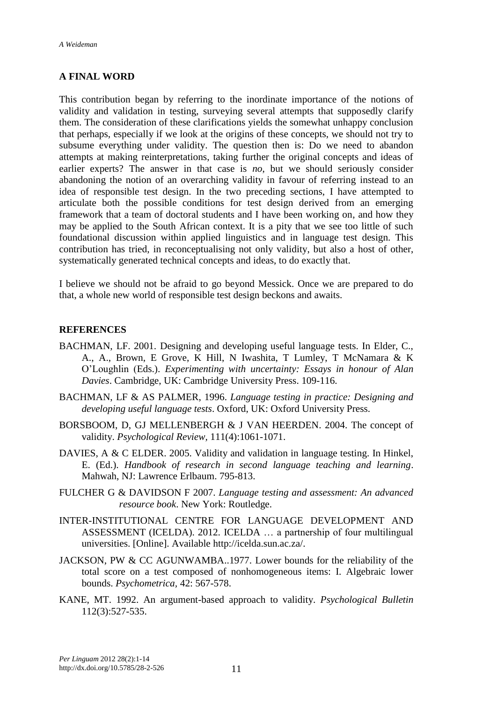#### **A FINAL WORD**

This contribution began by referring to the inordinate importance of the notions of validity and validation in testing, surveying several attempts that supposedly clarify them. The consideration of these clarifications yields the somewhat unhappy conclusion that perhaps, especially if we look at the origins of these concepts, we should not try to subsume everything under validity. The question then is: Do we need to abandon attempts at making reinterpretations, taking further the original concepts and ideas of earlier experts? The answer in that case is *no*, but we should seriously consider abandoning the notion of an overarching validity in favour of referring instead to an idea of responsible test design. In the two preceding sections, I have attempted to articulate both the possible conditions for test design derived from an emerging framework that a team of doctoral students and I have been working on, and how they may be applied to the South African context. It is a pity that we see too little of such foundational discussion within applied linguistics and in language test design. This contribution has tried, in reconceptualising not only validity, but also a host of other, systematically generated technical concepts and ideas, to do exactly that.

I believe we should not be afraid to go beyond Messick. Once we are prepared to do that, a whole new world of responsible test design beckons and awaits.

#### **REFERENCES**

- BACHMAN, LF. 2001. Designing and developing useful language tests. In Elder, C., A., A., Brown, E Grove, K Hill, N Iwashita, T Lumley, T McNamara & K O"Loughlin (Eds.). *Experimenting with uncertainty: Essays in honour of Alan Davies*. Cambridge, UK: Cambridge University Press. 109-116.
- BACHMAN, LF & AS PALMER, 1996. *Language testing in practice: Designing and developing useful language tests*. Oxford, UK: Oxford University Press.
- BORSBOOM, D, GJ MELLENBERGH & J VAN HEERDEN. 2004. The concept of validity. *Psychological Review,* 111(4):1061-1071.
- DAVIES, A & C ELDER. 2005. Validity and validation in language testing. In Hinkel, E. (Ed.). *Handbook of research in second language teaching and learning*. Mahwah, NJ: Lawrence Erlbaum. 795-813.
- FULCHER G & DAVIDSON F 2007. *Language testing and assessment: An advanced resource book*. New York: Routledge.
- INTER-INSTITUTIONAL CENTRE FOR LANGUAGE DEVELOPMENT AND ASSESSMENT (ICELDA). 2012. ICELDA … a partnership of four multilingual universities. [Online]. Available [http://icelda.sun.ac.za/.](http://icelda.sun.ac.za/)
- JACKSON, PW & CC AGUNWAMBA..1977. Lower bounds for the reliability of the total score on a test composed of nonhomogeneous items: I. Algebraic lower bounds. *Psychometrica,* 42: 567-578.
- KANE, MT. 1992. An argument-based approach to validity. *Psychological Bulletin* 112(3):527-535.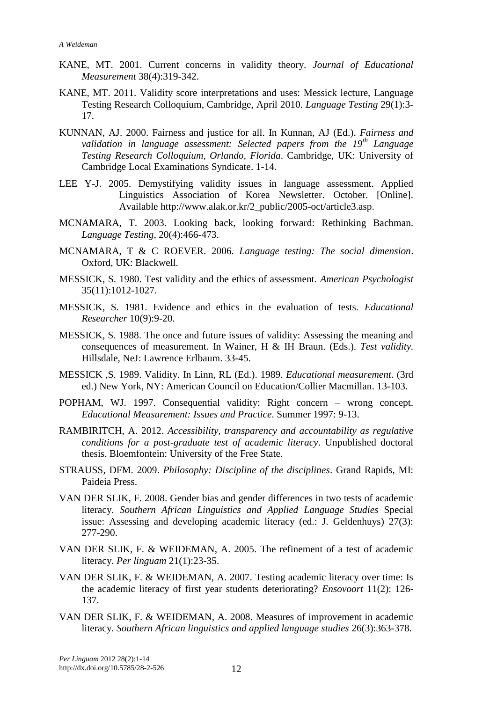- KANE, MT. 2001. Current concerns in validity theory. *Journal of Educational Measurement* 38(4):319-342.
- KANE, MT. 2011. Validity score interpretations and uses: Messick lecture, Language Testing Research Colloquium, Cambridge, April 2010. *Language Testing* 29(1):3- 17.
- KUNNAN, AJ. 2000. Fairness and justice for all. In Kunnan, AJ (Ed.). *Fairness and validation in language assessment: Selected papers from the 19th Language Testing Research Colloquium, Orlando, Florida*. Cambridge, UK: University of Cambridge Local Examinations Syndicate. 1-14.
- LEE Y-J. 2005. Demystifying validity issues in language assessment. Applied Linguistics Association of Korea Newsletter. October. [Online]. Available [http://www.alak.or.kr/2\\_public/2005-oct/article3.asp.](http://www.alak.or.kr/2_public/2005-oct/article3.asp)
- MCNAMARA, T. 2003. Looking back, looking forward: Rethinking Bachman. *Language Testing,* 20(4):466-473.
- MCNAMARA, T & C ROEVER. 2006. *Language testing: The social dimension*. Oxford, UK: Blackwell.
- MESSICK, S. 1980. Test validity and the ethics of assessment. *American Psychologist* 35(11):1012-1027.
- MESSICK, S. 1981. Evidence and ethics in the evaluation of tests. *Educational Researcher* 10(9):9-20.
- MESSICK, S. 1988. The once and future issues of validity: Assessing the meaning and consequences of measurement. In Wainer, H & IH Braun. (Eds.). *Test validity.* Hillsdale, NeJ: Lawrence Erlbaum. 33-45.
- MESSICK ,S. 1989. Validity. In Linn, RL (Ed.). 1989. *Educational measurement*. (3rd ed.) New York, NY: American Council on Education/Collier Macmillan. 13-103.
- POPHAM, WJ. 1997. Consequential validity: Right concern wrong concept. *Educational Measurement: Issues and Practice*. Summer 1997: 9-13.
- RAMBIRITCH, A. 2012. *Accessibility, transparency and accountability as regulative conditions for a post-graduate test of academic literacy*. Unpublished doctoral thesis. Bloemfontein: University of the Free State.
- STRAUSS, DFM. 2009. *Philosophy: Discipline of the disciplines*. Grand Rapids, MI: Paideia Press.
- VAN DER SLIK, F. 2008. Gender bias and gender differences in two tests of academic literacy. *Southern African Linguistics and Applied Language Studies* Special issue: Assessing and developing academic literacy (ed.: J. Geldenhuys) 27(3): 277-290.
- VAN DER SLIK, F. & WEIDEMAN, A. 2005. The refinement of a test of academic literacy. *Per linguam* 21(1):23-35.
- VAN DER SLIK, F. & WEIDEMAN, A. 2007. Testing academic literacy over time: Is the academic literacy of first year students deteriorating? *Ensovoort* 11(2): 126- 137.
- VAN DER SLIK, F. & WEIDEMAN, A. 2008. Measures of improvement in academic literacy. *Southern African linguistics and applied language studies* 26(3):363-378.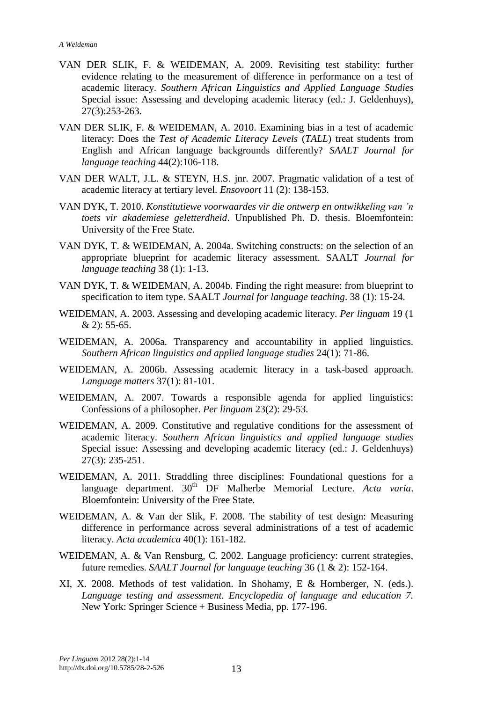- VAN DER SLIK, F. & WEIDEMAN, A. 2009. Revisiting test stability: further evidence relating to the measurement of difference in performance on a test of academic literacy. *Southern African Linguistics and Applied Language Studies* Special issue: Assessing and developing academic literacy (ed.: J. Geldenhuys), 27(3):253-263.
- VAN DER SLIK, F. & WEIDEMAN, A. 2010. Examining bias in a test of academic literacy: Does the *Test of Academic Literacy Levels* (*TALL*) treat students from English and African language backgrounds differently? *SAALT Journal for language teaching* 44(2):106-118.
- VAN DER WALT, J.L. & STEYN, H.S. jnr. 2007. Pragmatic validation of a test of academic literacy at tertiary level. *Ensovoort* 11 (2): 138-153.
- VAN DYK, T. 2010. *Konstitutiewe voorwaardes vir die ontwerp en ontwikkeling van 'n toets vir akademiese geletterdheid*. Unpublished Ph. D. thesis. Bloemfontein: University of the Free State.
- VAN DYK, T. & WEIDEMAN, A. 2004a. Switching constructs: on the selection of an appropriate blueprint for academic literacy assessment. SAALT *Journal for language teaching* 38 (1): 1-13.
- VAN DYK, T. & WEIDEMAN, A. 2004b. Finding the right measure: from blueprint to specification to item type. SAALT *Journal for language teaching*. 38 (1): 15-24.
- WEIDEMAN, A. 2003. Assessing and developing academic literacy. *Per linguam* 19 (1 & 2): 55-65.
- WEIDEMAN, A. 2006a. Transparency and accountability in applied linguistics. *Southern African linguistics and applied language studies* 24(1): 71-86.
- WEIDEMAN, A. 2006b. Assessing academic literacy in a task-based approach. *Language matters* 37(1): 81-101.
- WEIDEMAN, A. 2007. Towards a responsible agenda for applied linguistics: Confessions of a philosopher. *Per linguam* 23(2): 29-53.
- WEIDEMAN, A. 2009. Constitutive and regulative conditions for the assessment of academic literacy. *Southern African linguistics and applied language studies* Special issue: Assessing and developing academic literacy (ed.: J. Geldenhuys) 27(3): 235-251.
- WEIDEMAN, A. 2011. Straddling three disciplines: Foundational questions for a language department. 30<sup>th</sup> DF Malherbe Memorial Lecture. Acta varia. Bloemfontein: University of the Free State.
- WEIDEMAN, A. & Van der Slik, F. 2008. The stability of test design: Measuring difference in performance across several administrations of a test of academic literacy. *Acta academica* 40(1): 161-182.
- WEIDEMAN, A. & Van Rensburg, C. 2002. Language proficiency: current strategies, future remedies. *SAALT Journal for language teaching* 36 (1 & 2): 152-164.
- XI, X. 2008. Methods of test validation. In Shohamy, E & Hornberger, N. (eds.). *Language testing and assessment. Encyclopedia of language and education 7.* New York: Springer Science + Business Media, pp. 177-196.